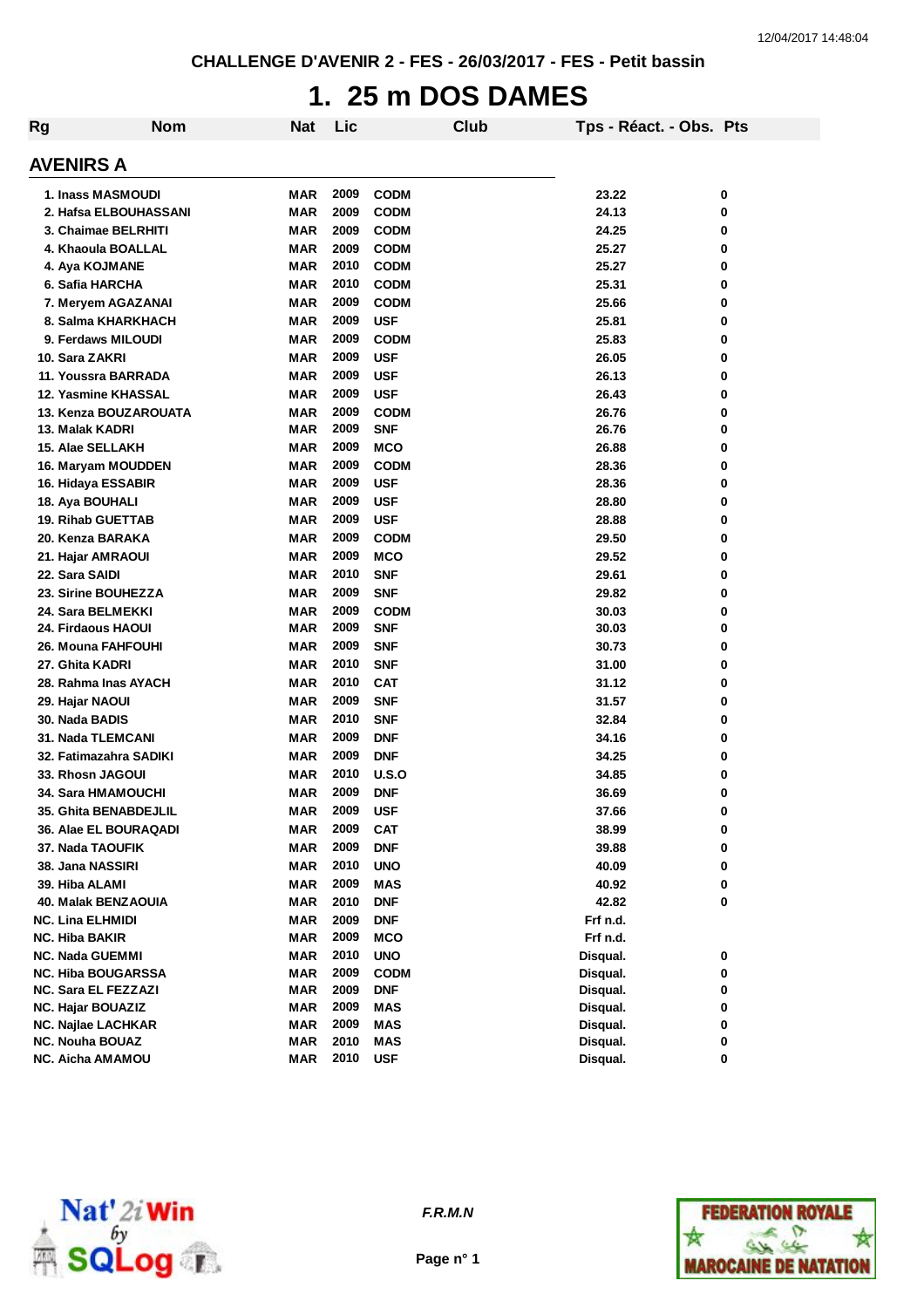# **1. 25 m DOS DAMES**

| Rg                        | <b>Nom</b> | <b>Nat</b> | Lic  |             | Club | Tps - Réact. - Obs. Pts |   |
|---------------------------|------------|------------|------|-------------|------|-------------------------|---|
| <b>AVENIRS A</b>          |            |            |      |             |      |                         |   |
| 1. Inass MASMOUDI         |            | MAR        | 2009 | <b>CODM</b> |      | 23.22                   | 0 |
| 2. Hafsa ELBOUHASSANI     |            | <b>MAR</b> | 2009 | <b>CODM</b> |      | 24.13                   | 0 |
| 3. Chaimae BELRHITI       |            | <b>MAR</b> | 2009 | <b>CODM</b> |      | 24.25                   | 0 |
| 4. Khaoula BOALLAL        |            | <b>MAR</b> | 2009 | <b>CODM</b> |      | 25.27                   | 0 |
| 4. Aya KOJMANE            |            | MAR        | 2010 | <b>CODM</b> |      | 25.27                   | 0 |
| 6. Safia HARCHA           |            | MAR        | 2010 | <b>CODM</b> |      | 25.31                   | 0 |
| 7. Meryem AGAZANAI        |            | <b>MAR</b> | 2009 | <b>CODM</b> |      | 25.66                   | 0 |
| 8. Salma KHARKHACH        |            | <b>MAR</b> | 2009 | <b>USF</b>  |      | 25.81                   | 0 |
| 9. Ferdaws MILOUDI        |            | <b>MAR</b> | 2009 | <b>CODM</b> |      | 25.83                   | 0 |
| 10. Sara ZAKRI            |            | <b>MAR</b> | 2009 | <b>USF</b>  |      | 26.05                   | 0 |
| 11. Youssra BARRADA       |            | MAR        | 2009 | <b>USF</b>  |      | 26.13                   | 0 |
| 12. Yasmine KHASSAL       |            | MAR        | 2009 | <b>USF</b>  |      | 26.43                   | 0 |
| 13. Kenza BOUZAROUATA     |            | MAR        | 2009 | <b>CODM</b> |      | 26.76                   | 0 |
| 13. Malak KADRI           |            | MAR        | 2009 | <b>SNF</b>  |      | 26.76                   | 0 |
| 15. Alae SELLAKH          |            | MAR        | 2009 | <b>MCO</b>  |      | 26.88                   | 0 |
| 16. Maryam MOUDDEN        |            | MAR        | 2009 | <b>CODM</b> |      | 28.36                   | 0 |
| 16. Hidaya ESSABIR        |            | MAR        | 2009 | <b>USF</b>  |      | 28.36                   | 0 |
| 18. Aya BOUHALI           |            | MAR        | 2009 | <b>USF</b>  |      | 28.80                   | 0 |
| <b>19. Rihab GUETTAB</b>  |            | MAR        | 2009 | <b>USF</b>  |      | 28.88                   | 0 |
| 20. Kenza BARAKA          |            | <b>MAR</b> | 2009 | <b>CODM</b> |      | 29.50                   | 0 |
| 21. Hajar AMRAOUI         |            | <b>MAR</b> | 2009 | <b>MCO</b>  |      | 29.52                   | 0 |
| 22. Sara SAIDI            |            | <b>MAR</b> | 2010 | <b>SNF</b>  |      | 29.61                   | 0 |
| 23. Sirine BOUHEZZA       |            | <b>MAR</b> | 2009 | <b>SNF</b>  |      | 29.82                   | 0 |
| 24. Sara BELMEKKI         |            | <b>MAR</b> | 2009 | <b>CODM</b> |      | 30.03                   | 0 |
| <b>24. Firdaous HAOUI</b> |            | <b>MAR</b> | 2009 | <b>SNF</b>  |      | 30.03                   | 0 |
| <b>26. Mouna FAHFOUHI</b> |            | <b>MAR</b> | 2009 | <b>SNF</b>  |      | 30.73                   | 0 |
| 27. Ghita KADRI           |            | MAR        | 2010 | <b>SNF</b>  |      | 31.00                   | 0 |
| 28. Rahma Inas AYACH      |            | <b>MAR</b> | 2010 | <b>CAT</b>  |      | 31.12                   | 0 |
| 29. Hajar NAOUI           |            | MAR        | 2009 | <b>SNF</b>  |      | 31.57                   | 0 |
| 30. Nada BADIS            |            | MAR        | 2010 | <b>SNF</b>  |      | 32.84                   | 0 |
| <b>31. Nada TLEMCANI</b>  |            | MAR        | 2009 | <b>DNF</b>  |      | 34.16                   | 0 |
| 32. Fatimazahra SADIKI    |            | MAR        | 2009 | <b>DNF</b>  |      | 34.25                   | 0 |
| 33. Rhosn JAGOUI          |            | <b>MAR</b> | 2010 | U.S.O       |      | 34.85                   | 0 |
| 34. Sara HMAMOUCHI        |            | MAR        | 2009 | <b>DNF</b>  |      | 36.69                   | 0 |
| 35. Ghita BENABDEJLIL     |            | <b>MAR</b> | 2009 | <b>USF</b>  |      | 37.66                   | 0 |
| 36. Alae EL BOURAQADI     |            | MAR        | 2009 | <b>CAT</b>  |      | 38.99                   | 0 |
| 37. Nada TAOUFIK          |            | <b>MAR</b> | 2009 | <b>DNF</b>  |      | 39.88                   | 0 |
| 38. Jana NASSIRI          |            | <b>MAR</b> | 2010 | <b>UNO</b>  |      | 40.09                   | 0 |
| 39. Hiba ALAMI            |            | <b>MAR</b> | 2009 | <b>MAS</b>  |      | 40.92                   | 0 |
| 40. Malak BENZAOUIA       |            | <b>MAR</b> | 2010 | <b>DNF</b>  |      | 42.82                   | 0 |
| <b>NC. Lina ELHMIDI</b>   |            | <b>MAR</b> | 2009 | <b>DNF</b>  |      | Frf n.d.                |   |
| NC. Hiba BAKIR            |            | <b>MAR</b> | 2009 | <b>MCO</b>  |      | Frf n.d.                |   |
| <b>NC. Nada GUEMMI</b>    |            | <b>MAR</b> | 2010 | <b>UNO</b>  |      | Disqual.                | 0 |
| <b>NC. Hiba BOUGARSSA</b> |            | <b>MAR</b> | 2009 | <b>CODM</b> |      | Disqual.                | 0 |
| NC. Sara EL FEZZAZI       |            | <b>MAR</b> | 2009 | <b>DNF</b>  |      | Disqual.                | 0 |
| <b>NC. Hajar BOUAZIZ</b>  |            | <b>MAR</b> | 2009 | MAS         |      | Disqual.                | 0 |
| <b>NC. Najlae LACHKAR</b> |            | <b>MAR</b> | 2009 | MAS         |      | Disqual.                | 0 |
| <b>NC. Nouha BOUAZ</b>    |            | <b>MAR</b> | 2010 | <b>MAS</b>  |      | Disqual.                | 0 |
| NC. Aicha AMAMOU          |            | MAR        | 2010 | <b>USF</b>  |      | Disqual.                | 0 |



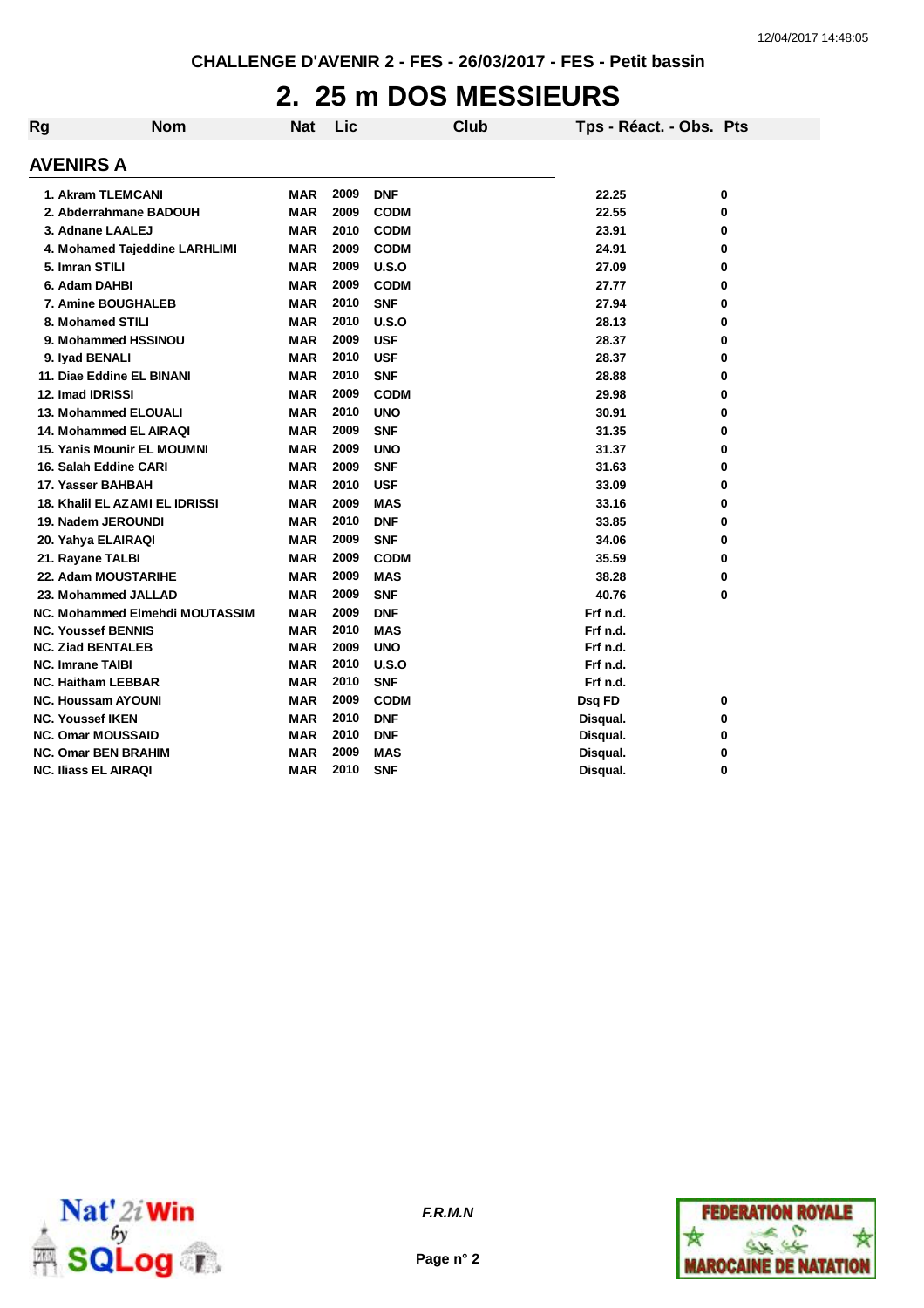## **2. 25 m DOS MESSIEURS**

| Rg | <b>Nom</b>                            | <b>Nat</b> | Lic  |             | Club | Tps - Réact. - Obs. Pts |   |
|----|---------------------------------------|------------|------|-------------|------|-------------------------|---|
|    | <b>AVENIRS A</b>                      |            |      |             |      |                         |   |
|    | 1. Akram TLEMCANI                     | <b>MAR</b> | 2009 | <b>DNF</b>  |      | 22.25                   | 0 |
|    | 2. Abderrahmane BADOUH                | <b>MAR</b> | 2009 | <b>CODM</b> |      | 22.55                   | 0 |
|    | 3. Adnane LAALEJ                      | <b>MAR</b> | 2010 | <b>CODM</b> |      | 23.91                   | 0 |
|    | 4. Mohamed Tajeddine LARHLIMI         | <b>MAR</b> | 2009 | <b>CODM</b> |      | 24.91                   | 0 |
|    | 5. Imran STILI                        | <b>MAR</b> | 2009 | U.S.O       |      | 27.09                   | 0 |
|    | 6. Adam DAHBI                         | <b>MAR</b> | 2009 | <b>CODM</b> |      | 27.77                   | 0 |
|    | 7. Amine BOUGHALEB                    | <b>MAR</b> | 2010 | <b>SNF</b>  |      | 27.94                   | 0 |
|    | 8. Mohamed STILI                      | <b>MAR</b> | 2010 | U.S.O       |      | 28.13                   | 0 |
|    | 9. Mohammed HSSINOU                   | <b>MAR</b> | 2009 | <b>USF</b>  |      | 28.37                   | 0 |
|    | 9. Iyad BENALI                        | <b>MAR</b> | 2010 | <b>USF</b>  |      | 28.37                   | 0 |
|    | 11. Diae Eddine EL BINANI             | <b>MAR</b> | 2010 | <b>SNF</b>  |      | 28.88                   | 0 |
|    | 12. Imad IDRISSI                      | <b>MAR</b> | 2009 | <b>CODM</b> |      | 29.98                   | 0 |
|    | 13. Mohammed ELOUALI                  | <b>MAR</b> | 2010 | <b>UNO</b>  |      | 30.91                   | 0 |
|    | 14. Mohammed EL AIRAQI                | <b>MAR</b> | 2009 | <b>SNF</b>  |      | 31.35                   | 0 |
|    | <b>15. Yanis Mounir EL MOUMNI</b>     | MAR        | 2009 | <b>UNO</b>  |      | 31.37                   | 0 |
|    | 16. Salah Eddine CARI                 | MAR        | 2009 | <b>SNF</b>  |      | 31.63                   | 0 |
|    | 17. Yasser BAHBAH                     | MAR        | 2010 | <b>USF</b>  |      | 33.09                   | 0 |
|    | <b>18. Khalil EL AZAMI EL IDRISSI</b> | <b>MAR</b> | 2009 | <b>MAS</b>  |      | 33.16                   | 0 |
|    | 19. Nadem JEROUNDI                    | <b>MAR</b> | 2010 | <b>DNF</b>  |      | 33.85                   | 0 |
|    | 20. Yahya ELAIRAQI                    | <b>MAR</b> | 2009 | <b>SNF</b>  |      | 34.06                   | 0 |
|    | 21. Rayane TALBI                      | <b>MAR</b> | 2009 | <b>CODM</b> |      | 35.59                   | 0 |
|    | 22. Adam MOUSTARIHE                   | <b>MAR</b> | 2009 | <b>MAS</b>  |      | 38.28                   | 0 |
|    | 23. Mohammed JALLAD                   | <b>MAR</b> | 2009 | <b>SNF</b>  |      | 40.76                   | 0 |
|    | NC. Mohammed Elmehdi MOUTASSIM        | MAR        | 2009 | <b>DNF</b>  |      | Frf n.d.                |   |
|    | <b>NC. Youssef BENNIS</b>             | <b>MAR</b> | 2010 | <b>MAS</b>  |      | Frf n.d.                |   |
|    | <b>NC. Ziad BENTALEB</b>              | <b>MAR</b> | 2009 | <b>UNO</b>  |      | Frf n.d.                |   |
|    | <b>NC. Imrane TAIBI</b>               | MAR        | 2010 | U.S.O       |      | Frf n.d.                |   |
|    | <b>NC. Haitham LEBBAR</b>             | MAR        | 2010 | <b>SNF</b>  |      | Frf n.d.                |   |
|    | <b>NC. Houssam AYOUNI</b>             | <b>MAR</b> | 2009 | <b>CODM</b> |      | Dsq FD                  | 0 |
|    | <b>NC. Youssef IKEN</b>               | <b>MAR</b> | 2010 | <b>DNF</b>  |      | Disqual.                | 0 |
|    | <b>NC. Omar MOUSSAID</b>              | <b>MAR</b> | 2010 | <b>DNF</b>  |      | Disqual.                | 0 |
|    | <b>NC. Omar BEN BRAHIM</b>            | MAR        | 2009 | <b>MAS</b>  |      | Disqual.                | 0 |
|    | <b>NC. Iliass EL AIRAQI</b>           | <b>MAR</b> | 2010 | <b>SNF</b>  |      | Disqual.                | 0 |



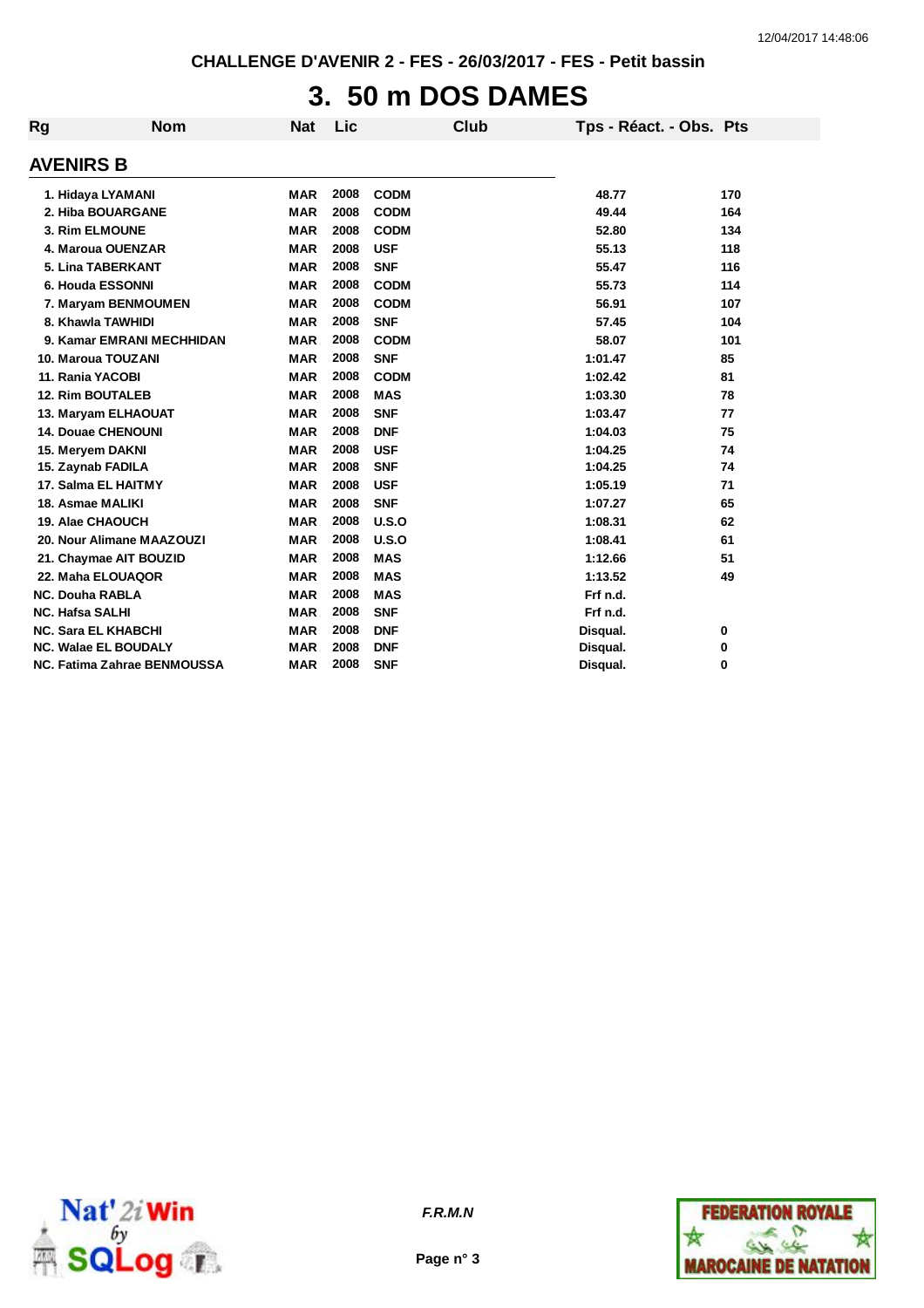# **3. 50 m DOS DAMES**

| Rg                     | <b>Nom</b>                  | <b>Nat</b> | Lic  | <b>Club</b> | Tps - Réact. - Obs. Pts |     |
|------------------------|-----------------------------|------------|------|-------------|-------------------------|-----|
| <b>AVENIRS B</b>       |                             |            |      |             |                         |     |
|                        | 1. Hidaya LYAMANI           | <b>MAR</b> | 2008 | <b>CODM</b> | 48.77                   | 170 |
|                        | 2. Hiba BOUARGANE           | <b>MAR</b> | 2008 | <b>CODM</b> | 49.44                   | 164 |
|                        | 3. Rim ELMOUNE              | <b>MAR</b> | 2008 | <b>CODM</b> | 52.80                   | 134 |
|                        | 4. Maroua OUENZAR           | <b>MAR</b> | 2008 | <b>USF</b>  | 55.13                   | 118 |
|                        | 5. Lina TABERKANT           | <b>MAR</b> | 2008 | <b>SNF</b>  | 55.47                   | 116 |
|                        | 6. Houda ESSONNI            | <b>MAR</b> | 2008 | <b>CODM</b> | 55.73                   | 114 |
|                        | 7. Maryam BENMOUMEN         | <b>MAR</b> | 2008 | <b>CODM</b> | 56.91                   | 107 |
|                        | 8. Khawla TAWHIDI           | <b>MAR</b> | 2008 | <b>SNF</b>  | 57.45                   | 104 |
|                        | 9. Kamar EMRANI MECHHIDAN   | <b>MAR</b> | 2008 | <b>CODM</b> | 58.07                   | 101 |
|                        | 10. Maroua TOUZANI          | <b>MAR</b> | 2008 | <b>SNF</b>  | 1:01.47                 | 85  |
|                        | 11. Rania YACOBI            | <b>MAR</b> | 2008 | <b>CODM</b> | 1:02.42                 | 81  |
|                        | <b>12. Rim BOUTALEB</b>     | <b>MAR</b> | 2008 | <b>MAS</b>  | 1:03.30                 | 78  |
|                        | 13. Maryam ELHAOUAT         | <b>MAR</b> | 2008 | <b>SNF</b>  | 1:03.47                 | 77  |
|                        | <b>14. Douae CHENOUNI</b>   | <b>MAR</b> | 2008 | <b>DNF</b>  | 1:04.03                 | 75  |
|                        | 15. Meryem DAKNI            | <b>MAR</b> | 2008 | <b>USF</b>  | 1:04.25                 | 74  |
|                        | 15. Zaynab FADILA           | <b>MAR</b> | 2008 | <b>SNF</b>  | 1:04.25                 | 74  |
|                        | 17. Salma EL HAITMY         | <b>MAR</b> | 2008 | <b>USF</b>  | 1:05.19                 | 71  |
|                        | 18. Asmae MALIKI            | <b>MAR</b> | 2008 | <b>SNF</b>  | 1:07.27                 | 65  |
|                        | 19. Alae CHAOUCH            | <b>MAR</b> | 2008 | U.S.O       | 1:08.31                 | 62  |
|                        | 20. Nour Alimane MAAZOUZI   | <b>MAR</b> | 2008 | U.S.O       | 1:08.41                 | 61  |
|                        | 21. Chaymae AIT BOUZID      | <b>MAR</b> | 2008 | <b>MAS</b>  | 1:12.66                 | 51  |
|                        | 22. Maha ELOUAQOR           | <b>MAR</b> | 2008 | <b>MAS</b>  | 1:13.52                 | 49  |
| <b>NC. Douha RABLA</b> |                             | <b>MAR</b> | 2008 | <b>MAS</b>  | Frf n.d.                |     |
| <b>NC. Hafsa SALHI</b> |                             | <b>MAR</b> | 2008 | <b>SNF</b>  | Frf n.d.                |     |
|                        | <b>NC. Sara EL KHABCHI</b>  | <b>MAR</b> | 2008 | <b>DNF</b>  | Disqual.                | 0   |
|                        | NC. Walae EL BOUDALY        | <b>MAR</b> | 2008 | <b>DNF</b>  | Disqual.                | 0   |
|                        | NC. Fatima Zahrae BENMOUSSA | <b>MAR</b> | 2008 | <b>SNF</b>  | Disqual.                | 0   |





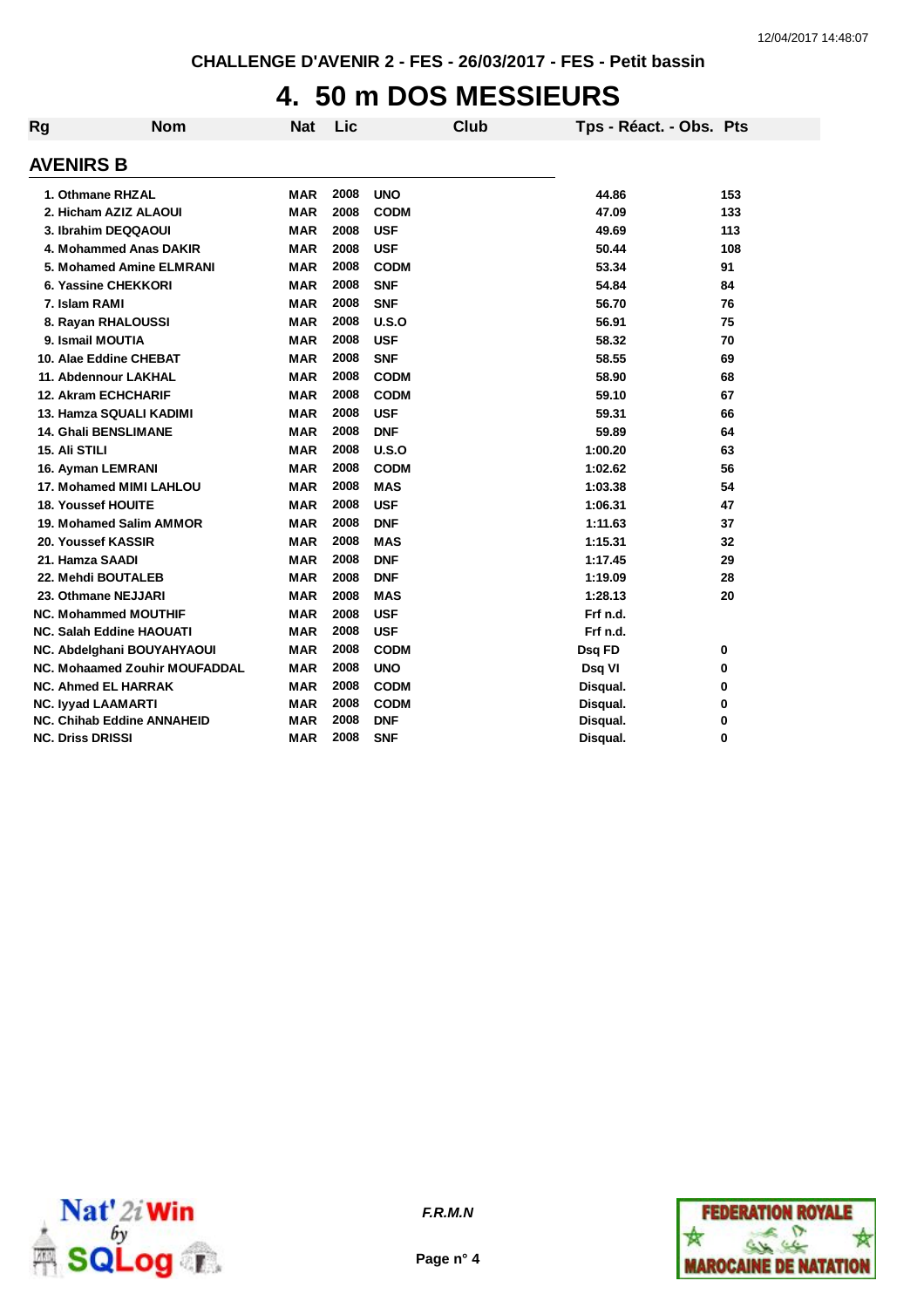## **4. 50 m DOS MESSIEURS**

| Rg | <b>Nom</b>                           | <b>Nat</b> | Lic  |             | <b>Club</b> | Tps - Réact. - Obs. Pts |     |
|----|--------------------------------------|------------|------|-------------|-------------|-------------------------|-----|
|    | <b>AVENIRS B</b>                     |            |      |             |             |                         |     |
|    | 1. Othmane RHZAL                     | <b>MAR</b> | 2008 | <b>UNO</b>  |             | 44.86                   | 153 |
|    | 2. Hicham AZIZ ALAOUI                | <b>MAR</b> | 2008 | <b>CODM</b> |             | 47.09                   | 133 |
|    | 3. Ibrahim DEQQAOUI                  | <b>MAR</b> | 2008 | <b>USF</b>  |             | 49.69                   | 113 |
|    | 4. Mohammed Anas DAKIR               | <b>MAR</b> | 2008 | <b>USF</b>  |             | 50.44                   | 108 |
|    | 5. Mohamed Amine ELMRANI             | <b>MAR</b> | 2008 | <b>CODM</b> |             | 53.34                   | 91  |
|    | 6. Yassine CHEKKORI                  | <b>MAR</b> | 2008 | <b>SNF</b>  |             | 54.84                   | 84  |
|    | 7. Islam RAMI                        | <b>MAR</b> | 2008 | <b>SNF</b>  |             | 56.70                   | 76  |
|    | 8. Rayan RHALOUSSI                   | <b>MAR</b> | 2008 | U.S.O       |             | 56.91                   | 75  |
|    | 9. Ismail MOUTIA                     | <b>MAR</b> | 2008 | <b>USF</b>  |             | 58.32                   | 70  |
|    | 10. Alae Eddine CHEBAT               | <b>MAR</b> | 2008 | <b>SNF</b>  |             | 58.55                   | 69  |
|    | 11. Abdennour LAKHAL                 | <b>MAR</b> | 2008 | <b>CODM</b> |             | 58.90                   | 68  |
|    | <b>12. Akram ECHCHARIF</b>           | <b>MAR</b> | 2008 | <b>CODM</b> |             | 59.10                   | 67  |
|    | 13. Hamza SQUALI KADIMI              | <b>MAR</b> | 2008 | <b>USF</b>  |             | 59.31                   | 66  |
|    | 14. Ghali BENSLIMANE                 | <b>MAR</b> | 2008 | <b>DNF</b>  |             | 59.89                   | 64  |
|    | <b>15. Ali STILI</b>                 | <b>MAR</b> | 2008 | U.S.O       |             | 1:00.20                 | 63  |
|    | 16. Ayman LEMRANI                    | <b>MAR</b> | 2008 | <b>CODM</b> |             | 1:02.62                 | 56  |
|    | 17. Mohamed MIMI LAHLOU              | <b>MAR</b> | 2008 | <b>MAS</b>  |             | 1:03.38                 | 54  |
|    | <b>18. Youssef HOUITE</b>            | <b>MAR</b> | 2008 | <b>USF</b>  |             | 1:06.31                 | 47  |
|    | 19. Mohamed Salim AMMOR              | <b>MAR</b> | 2008 | <b>DNF</b>  |             | 1:11.63                 | 37  |
|    | 20. Youssef KASSIR                   | <b>MAR</b> | 2008 | <b>MAS</b>  |             | 1:15.31                 | 32  |
|    | 21. Hamza SAADI                      | <b>MAR</b> | 2008 | <b>DNF</b>  |             | 1:17.45                 | 29  |
|    | 22. Mehdi BOUTALEB                   | <b>MAR</b> | 2008 | <b>DNF</b>  |             | 1:19.09                 | 28  |
|    | 23. Othmane NEJJARI                  | <b>MAR</b> | 2008 | <b>MAS</b>  |             | 1:28.13                 | 20  |
|    | <b>NC. Mohammed MOUTHIF</b>          | <b>MAR</b> | 2008 | <b>USF</b>  |             | Frf n.d.                |     |
|    | <b>NC. Salah Eddine HAOUATI</b>      | <b>MAR</b> | 2008 | <b>USF</b>  |             | Frf n.d.                |     |
|    | NC. Abdelghani BOUYAHYAOUI           | <b>MAR</b> | 2008 | <b>CODM</b> |             | Dsq FD                  | 0   |
|    | <b>NC. Mohaamed Zouhir MOUFADDAL</b> | <b>MAR</b> | 2008 | <b>UNO</b>  |             | Dsq VI                  | 0   |
|    | <b>NC. Ahmed EL HARRAK</b>           | <b>MAR</b> | 2008 | <b>CODM</b> |             | Disqual.                | 0   |
|    | <b>NC. Iyyad LAAMARTI</b>            | <b>MAR</b> | 2008 | <b>CODM</b> |             | Disqual.                | 0   |
|    | <b>NC. Chihab Eddine ANNAHEID</b>    | <b>MAR</b> | 2008 | <b>DNF</b>  |             | Disqual.                | 0   |
|    | <b>NC. Driss DRISSI</b>              | <b>MAR</b> | 2008 | <b>SNF</b>  |             | Disqual.                | 0   |





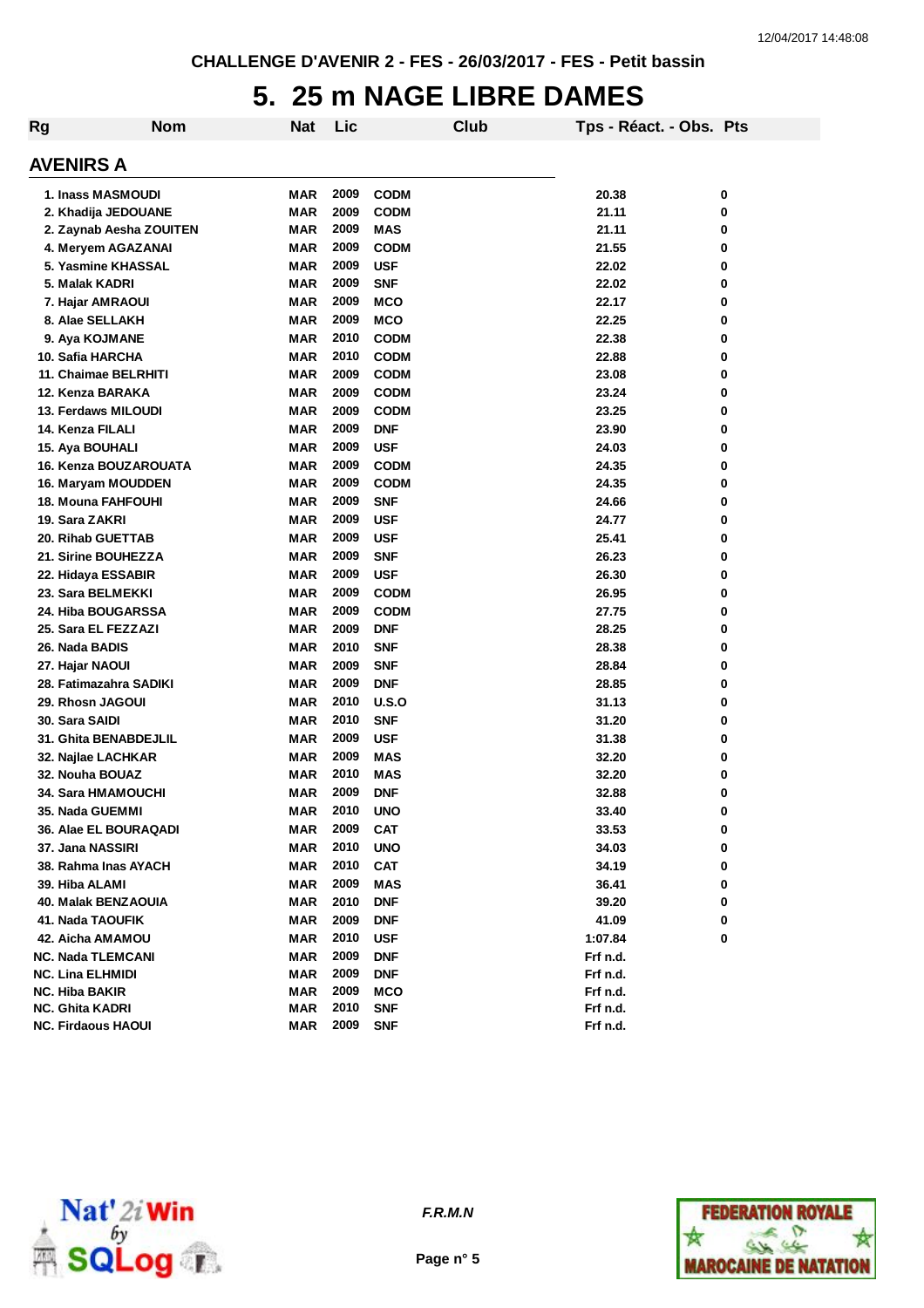# **5. 25 m NAGE LIBRE DAMES**

| Rg                         | <b>Nom</b> | <b>Nat</b> | Lic          |                           | Club |          | Tps - Réact. - Obs. Pts |        |
|----------------------------|------------|------------|--------------|---------------------------|------|----------|-------------------------|--------|
| <b>AVENIRS A</b>           |            |            |              |                           |      |          |                         |        |
| 1. Inass MASMOUDI          |            | MAR        | 2009         | <b>CODM</b>               |      | 20.38    |                         | 0      |
| 2. Khadija JEDOUANE        |            | MAR        | 2009         | <b>CODM</b>               |      | 21.11    |                         | 0      |
| 2. Zaynab Aesha ZOUITEN    |            | MAR        | 2009         | MAS                       |      | 21.11    |                         | 0      |
| 4. Meryem AGAZANAI         |            | <b>MAR</b> | 2009         | <b>CODM</b>               |      | 21.55    |                         | 0      |
| 5. Yasmine KHASSAL         |            | <b>MAR</b> | 2009         | <b>USF</b>                |      | 22.02    |                         | 0      |
| 5. Malak KADRI             |            | MAR        | 2009         | <b>SNF</b>                |      | 22.02    |                         | 0      |
| 7. Hajar AMRAOUI           |            | <b>MAR</b> | 2009         | <b>MCO</b>                |      | 22.17    |                         | 0      |
| 8. Alae SELLAKH            |            | <b>MAR</b> | 2009         | <b>MCO</b>                |      | 22.25    |                         | 0      |
| 9. Aya KOJMANE             |            | <b>MAR</b> | 2010         | <b>CODM</b>               |      | 22.38    |                         | 0      |
| 10. Safia HARCHA           |            | <b>MAR</b> | 2010         | <b>CODM</b>               |      | 22.88    |                         | 0      |
| 11. Chaimae BELRHITI       |            | MAR        | 2009         | <b>CODM</b>               |      | 23.08    |                         | 0      |
| 12. Kenza BARAKA           |            | <b>MAR</b> | 2009         |                           |      | 23.24    |                         | 0      |
| 13. Ferdaws MILOUDI        |            | <b>MAR</b> | 2009         | <b>CODM</b>               |      | 23.25    |                         | 0      |
| 14. Kenza FILALI           |            | <b>MAR</b> | 2009         | <b>CODM</b><br><b>DNF</b> |      | 23.90    |                         | 0      |
|                            |            |            | 2009         |                           |      |          |                         |        |
| 15. Aya BOUHALI            |            | <b>MAR</b> |              | <b>USF</b>                |      | 24.03    |                         | 0      |
| 16. Kenza BOUZAROUATA      |            | MAR        | 2009<br>2009 | <b>CODM</b>               |      | 24.35    |                         | 0<br>0 |
| 16. Maryam MOUDDEN         |            | MAR        |              | <b>CODM</b>               |      | 24.35    |                         |        |
| 18. Mouna FAHFOUHI         |            | MAR        | 2009         | <b>SNF</b>                |      | 24.66    |                         | 0      |
| 19. Sara ZAKRI             |            | MAR        | 2009         | <b>USF</b>                |      | 24.77    |                         | 0      |
| 20. Rihab GUETTAB          |            | MAR        | 2009         | <b>USF</b>                |      | 25.41    |                         | 0      |
| <b>21. Sirine BOUHEZZA</b> |            | MAR        | 2009         | <b>SNF</b>                |      | 26.23    |                         | 0      |
| 22. Hidaya ESSABIR         |            | MAR        | 2009         | <b>USF</b>                |      | 26.30    |                         | 0      |
| 23. Sara BELMEKKI          |            | MAR        | 2009         | <b>CODM</b>               |      | 26.95    |                         | 0      |
| 24. Hiba BOUGARSSA         |            | <b>MAR</b> | 2009         | <b>CODM</b>               |      | 27.75    |                         | 0      |
| 25. Sara EL FEZZAZI        |            | <b>MAR</b> | 2009         | <b>DNF</b>                |      | 28.25    |                         | 0      |
| 26. Nada BADIS             |            | MAR        | 2010         | <b>SNF</b>                |      | 28.38    |                         | 0      |
| 27. Hajar NAOUI            |            | MAR        | 2009         | <b>SNF</b>                |      | 28.84    |                         | 0      |
| 28. Fatimazahra SADIKI     |            | MAR        | 2009         | <b>DNF</b>                |      | 28.85    |                         | 0      |
| 29. Rhosn JAGOUI           |            | MAR        | 2010         | U.S.O                     |      | 31.13    |                         | 0      |
| 30. Sara SAIDI             |            | <b>MAR</b> | 2010         | <b>SNF</b>                |      | 31.20    |                         | 0      |
| 31. Ghita BENABDEJLIL      |            | <b>MAR</b> | 2009         | <b>USF</b>                |      | 31.38    |                         | 0      |
| 32. Najlae LACHKAR         |            | MAR        | 2009         | MAS                       |      | 32.20    |                         | 0      |
| <b>32. Nouha BOUAZ</b>     |            | MAR        | 2010         | MAS                       |      | 32.20    |                         | 0      |
| 34. Sara HMAMOUCHI         |            | MAR        | 2009         | <b>DNF</b>                |      | 32.88    |                         | 0      |
| 35. Nada GUEMMI            |            | <b>MAR</b> | 2010         | <b>UNO</b>                |      | 33.40    |                         | U      |
| 36. Alae EL BOURAQADI      |            | MAR        | 2009         | <b>CAT</b>                |      | 33.53    |                         | 0      |
| 37. Jana NASSIRI           |            | MAR        | 2010         | <b>UNO</b>                |      | 34.03    |                         | 0      |
| 38. Rahma Inas AYACH       |            | MAR        | 2010         | <b>CAT</b>                |      | 34.19    |                         | 0      |
| 39. Hiba ALAMI             |            | MAR        | 2009         | MAS                       |      | 36.41    |                         | 0      |
| 40. Malak BENZAOUIA        |            | MAR        | 2010         | <b>DNF</b>                |      | 39.20    |                         | 0      |
| 41. Nada TAOUFIK           |            | MAR        | 2009         | <b>DNF</b>                |      | 41.09    |                         | 0      |
| 42. Aicha AMAMOU           |            | MAR        | 2010         | <b>USF</b>                |      | 1:07.84  |                         | 0      |
| <b>NC. Nada TLEMCANI</b>   |            | MAR        | 2009         | <b>DNF</b>                |      | Frf n.d. |                         |        |
| <b>NC. Lina ELHMIDI</b>    |            | MAR        | 2009         | <b>DNF</b>                |      | Frf n.d. |                         |        |
| <b>NC. Hiba BAKIR</b>      |            | MAR        | 2009         | MCO                       |      | Frf n.d. |                         |        |
| <b>NC. Ghita KADRI</b>     |            | MAR        | 2010         | <b>SNF</b>                |      | Frf n.d. |                         |        |
| <b>NC. Firdaous HAOUI</b>  |            | MAR        | 2009         | <b>SNF</b>                |      | Frf n.d. |                         |        |





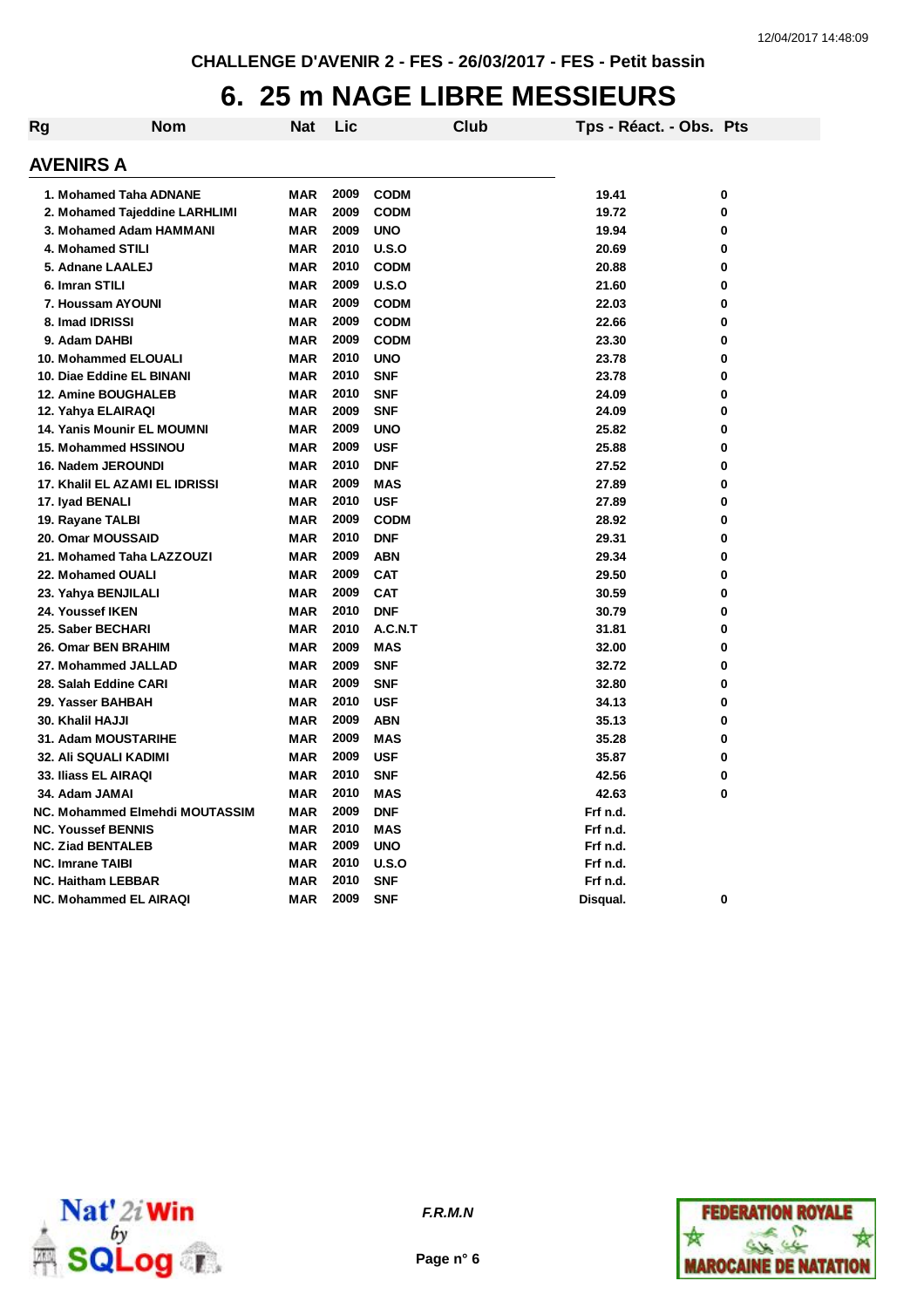## **6. 25 m NAGE LIBRE MESSIEURS**

| Rg | Nom                            | Nat        | Lic  |             | <b>Club</b> | Tps - Réact. - Obs. Pts |   |
|----|--------------------------------|------------|------|-------------|-------------|-------------------------|---|
|    | <b>AVENIRS A</b>               |            |      |             |             |                         |   |
|    | 1. Mohamed Taha ADNANE         | MAR        | 2009 | <b>CODM</b> |             | 19.41                   | 0 |
|    | 2. Mohamed Tajeddine LARHLIMI  | <b>MAR</b> | 2009 | <b>CODM</b> |             | 19.72                   | 0 |
|    | 3. Mohamed Adam HAMMANI        | <b>MAR</b> | 2009 | <b>UNO</b>  |             | 19.94                   | 0 |
|    | 4. Mohamed STILI               | <b>MAR</b> | 2010 | U.S.O       |             | 20.69                   | 0 |
|    | 5. Adnane LAALEJ               | <b>MAR</b> | 2010 | <b>CODM</b> |             | 20.88                   | 0 |
|    | 6. Imran STILI                 | <b>MAR</b> | 2009 | U.S.O       |             | 21.60                   | 0 |
|    | 7. Houssam AYOUNI              | <b>MAR</b> | 2009 | <b>CODM</b> |             | 22.03                   | 0 |
|    | 8. Imad IDRISSI                | <b>MAR</b> | 2009 | <b>CODM</b> |             | 22.66                   | 0 |
|    | 9. Adam DAHBI                  | <b>MAR</b> | 2009 | <b>CODM</b> |             | 23.30                   | 0 |
|    | 10. Mohammed ELOUALI           | <b>MAR</b> | 2010 | <b>UNO</b>  |             | 23.78                   | 0 |
|    | 10. Diae Eddine EL BINANI      | <b>MAR</b> | 2010 | <b>SNF</b>  |             | 23.78                   | 0 |
|    | <b>12. Amine BOUGHALEB</b>     | <b>MAR</b> | 2010 | <b>SNF</b>  |             | 24.09                   | 0 |
|    | 12. Yahya ELAIRAQI             | <b>MAR</b> | 2009 | <b>SNF</b>  |             | 24.09                   | 0 |
|    | 14. Yanis Mounir EL MOUMNI     | <b>MAR</b> | 2009 | <b>UNO</b>  |             | 25.82                   | 0 |
|    | <b>15. Mohammed HSSINOU</b>    | <b>MAR</b> | 2009 | <b>USF</b>  |             | 25.88                   | 0 |
|    | 16. Nadem JEROUNDI             | <b>MAR</b> | 2010 | <b>DNF</b>  |             | 27.52                   | 0 |
|    | 17. Khalil EL AZAMI EL IDRISSI | <b>MAR</b> | 2009 | <b>MAS</b>  |             | 27.89                   | 0 |
|    | 17. Iyad BENALI                | <b>MAR</b> | 2010 | <b>USF</b>  |             | 27.89                   | 0 |
|    | 19. Rayane TALBI               | <b>MAR</b> | 2009 | <b>CODM</b> |             | 28.92                   | 0 |
|    | 20. Omar MOUSSAID              | <b>MAR</b> | 2010 | <b>DNF</b>  |             | 29.31                   | 0 |
|    | 21. Mohamed Taha LAZZOUZI      | MAR        | 2009 | ABN         |             | 29.34                   | 0 |
|    | 22. Mohamed OUALI              | <b>MAR</b> | 2009 | <b>CAT</b>  |             | 29.50                   | 0 |
|    | 23. Yahya BENJILALI            | <b>MAR</b> | 2009 | <b>CAT</b>  |             | 30.59                   | 0 |
|    | 24. Youssef IKEN               | <b>MAR</b> | 2010 | <b>DNF</b>  |             | 30.79                   | 0 |
|    | 25. Saber BECHARI              | <b>MAR</b> | 2010 | A.C.N.T     |             | 31.81                   | 0 |
|    | 26. Omar BEN BRAHIM            | <b>MAR</b> | 2009 | <b>MAS</b>  |             | 32.00                   | 0 |
|    | 27. Mohammed JALLAD            | <b>MAR</b> | 2009 | <b>SNF</b>  |             | 32.72                   | 0 |
|    | 28. Salah Eddine CARI          | <b>MAR</b> | 2009 | <b>SNF</b>  |             | 32.80                   | 0 |
|    | 29. Yasser BAHBAH              | <b>MAR</b> | 2010 | <b>USF</b>  |             | 34.13                   | 0 |
|    | 30. Khalil HAJJI               | <b>MAR</b> | 2009 | ABN         |             | 35.13                   | 0 |
|    | 31. Adam MOUSTARIHE            | <b>MAR</b> | 2009 | <b>MAS</b>  |             | 35.28                   | 0 |
|    | 32. Ali SQUALI KADIMI          | <b>MAR</b> | 2009 | <b>USF</b>  |             | 35.87                   | 0 |
|    | 33. Iliass EL AIRAQI           | <b>MAR</b> | 2010 | <b>SNF</b>  |             | 42.56                   | 0 |
|    | 34. Adam JAMAI                 | <b>MAR</b> | 2010 | <b>MAS</b>  |             | 42.63                   | 0 |
|    | NC. Mohammed Elmehdi MOUTASSIM | <b>MAR</b> | 2009 | <b>DNF</b>  |             | Frf n.d.                |   |
|    | <b>NC. Youssef BENNIS</b>      | <b>MAR</b> | 2010 | <b>MAS</b>  |             | Frf n.d.                |   |
|    | <b>NC. Ziad BENTALEB</b>       | <b>MAR</b> | 2009 | <b>UNO</b>  |             | Frf n.d.                |   |
|    | <b>NC. Imrane TAIBI</b>        | <b>MAR</b> | 2010 | U.S.O       |             | Frf n.d.                |   |
|    | <b>NC. Haitham LEBBAR</b>      | <b>MAR</b> | 2010 | <b>SNF</b>  |             | Frf n.d.                |   |
|    | <b>NC. Mohammed EL AIRAQI</b>  | <b>MAR</b> | 2009 | <b>SNF</b>  |             | Disqual.                | 0 |





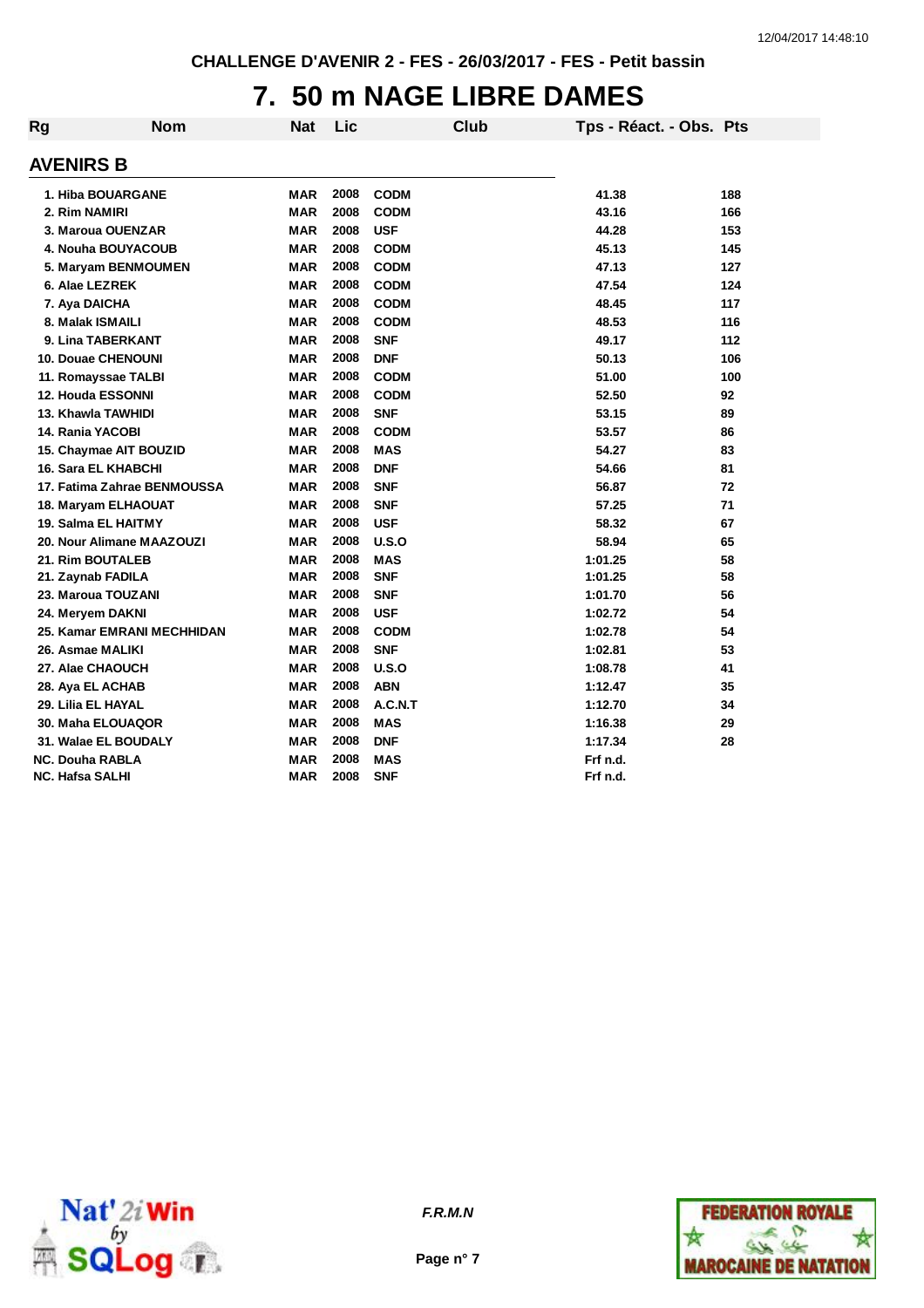# **7. 50 m NAGE LIBRE DAMES**

| Rg                       | <b>Nom</b>                  | <b>Nat</b> | Lic  | <b>Club</b> | Tps - Réact. - Obs. Pts |     |
|--------------------------|-----------------------------|------------|------|-------------|-------------------------|-----|
| <b>AVENIRS B</b>         |                             |            |      |             |                         |     |
|                          | 1. Hiba BOUARGANE           | <b>MAR</b> | 2008 | <b>CODM</b> | 41.38                   | 188 |
| 2. Rim NAMIRI            |                             | <b>MAR</b> | 2008 | <b>CODM</b> | 43.16                   | 166 |
|                          | 3. Maroua OUENZAR           | <b>MAR</b> | 2008 | <b>USF</b>  | 44.28                   | 153 |
|                          | 4. Nouha BOUYACOUB          | <b>MAR</b> | 2008 | <b>CODM</b> | 45.13                   | 145 |
|                          | 5. Maryam BENMOUMEN         | <b>MAR</b> | 2008 | <b>CODM</b> | 47.13                   | 127 |
| 6. Alae LEZREK           |                             | <b>MAR</b> | 2008 | <b>CODM</b> | 47.54                   | 124 |
| 7. Aya DAICHA            |                             | <b>MAR</b> | 2008 | <b>CODM</b> | 48.45                   | 117 |
| 8. Malak ISMAILI         |                             | <b>MAR</b> | 2008 | <b>CODM</b> | 48.53                   | 116 |
|                          | 9. Lina TABERKANT           | <b>MAR</b> | 2008 | <b>SNF</b>  | 49.17                   | 112 |
|                          | <b>10. Douae CHENOUNI</b>   | <b>MAR</b> | 2008 | <b>DNF</b>  | 50.13                   | 106 |
|                          | 11. Romayssae TALBI         | <b>MAR</b> | 2008 | <b>CODM</b> | 51.00                   | 100 |
| <b>12. Houda ESSONNI</b> |                             | <b>MAR</b> | 2008 | <b>CODM</b> | 52.50                   | 92  |
| 13. Khawla TAWHIDI       |                             | <b>MAR</b> | 2008 | <b>SNF</b>  | 53.15                   | 89  |
| 14. Rania YACOBI         |                             | <b>MAR</b> | 2008 | <b>CODM</b> | 53.57                   | 86  |
|                          | 15. Chaymae AIT BOUZID      | <b>MAR</b> | 2008 | <b>MAS</b>  | 54.27                   | 83  |
|                          | <b>16. Sara EL KHABCHI</b>  | <b>MAR</b> | 2008 | <b>DNF</b>  | 54.66                   | 81  |
|                          | 17. Fatima Zahrae BENMOUSSA | <b>MAR</b> | 2008 | <b>SNF</b>  | 56.87                   | 72  |
|                          | 18. Maryam ELHAOUAT         | <b>MAR</b> | 2008 | <b>SNF</b>  | 57.25                   | 71  |
|                          | 19. Salma EL HAITMY         | MAR        | 2008 | <b>USF</b>  | 58.32                   | 67  |
|                          | 20. Nour Alimane MAAZOUZI   | <b>MAR</b> | 2008 | U.S.O       | 58.94                   | 65  |
| 21. Rim BOUTALEB         |                             | <b>MAR</b> | 2008 | <b>MAS</b>  | 1:01.25                 | 58  |
| 21. Zaynab FADILA        |                             | <b>MAR</b> | 2008 | <b>SNF</b>  | 1:01.25                 | 58  |
|                          | 23. Maroua TOUZANI          | <b>MAR</b> | 2008 | <b>SNF</b>  | 1:01.70                 | 56  |
| 24. Meryem DAKNI         |                             | <b>MAR</b> | 2008 | <b>USF</b>  | 1:02.72                 | 54  |
|                          | 25. Kamar EMRANI MECHHIDAN  | <b>MAR</b> | 2008 | <b>CODM</b> | 1:02.78                 | 54  |
| 26. Asmae MALIKI         |                             | <b>MAR</b> | 2008 | <b>SNF</b>  | 1:02.81                 | 53  |
| 27. Alae CHAOUCH         |                             | MAR        | 2008 | U.S.O       | 1:08.78                 | 41  |
| 28. Aya EL ACHAB         |                             | MAR        | 2008 | <b>ABN</b>  | 1:12.47                 | 35  |
| 29. Lilia EL HAYAL       |                             | <b>MAR</b> | 2008 | A.C.N.T     | 1:12.70                 | 34  |
|                          | 30. Maha ELOUAQOR           | <b>MAR</b> | 2008 | <b>MAS</b>  | 1:16.38                 | 29  |
|                          | 31. Walae EL BOUDALY        | <b>MAR</b> | 2008 | <b>DNF</b>  | 1:17.34                 | 28  |
| <b>NC. Douha RABLA</b>   |                             | <b>MAR</b> | 2008 | <b>MAS</b>  | Frf n.d.                |     |
| <b>NC. Hafsa SALHI</b>   |                             | <b>MAR</b> | 2008 | <b>SNF</b>  | Frf n.d.                |     |



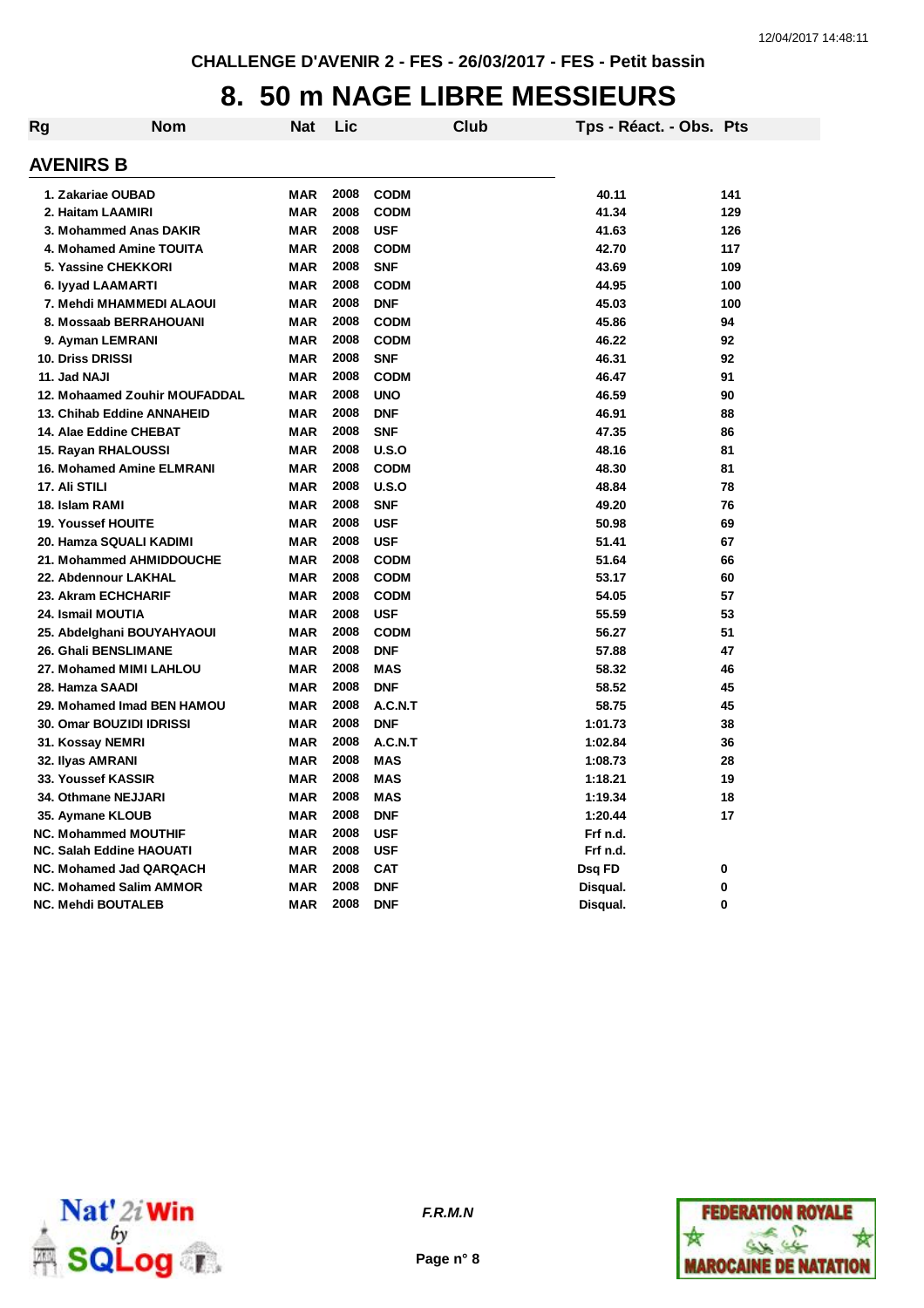## **8. 50 m NAGE LIBRE MESSIEURS**

| Rg | <b>Nom</b>                       | Nat        | Lic  |             | Club | Tps - Réact. - Obs. Pts |     |
|----|----------------------------------|------------|------|-------------|------|-------------------------|-----|
|    | <b>AVENIRS B</b>                 |            |      |             |      |                         |     |
|    | 1. Zakariae OUBAD                | <b>MAR</b> | 2008 | <b>CODM</b> |      | 40.11                   | 141 |
|    | 2. Haitam LAAMIRI                | <b>MAR</b> | 2008 | <b>CODM</b> |      | 41.34                   | 129 |
|    | 3. Mohammed Anas DAKIR           | <b>MAR</b> | 2008 | <b>USF</b>  |      | 41.63                   | 126 |
|    | 4. Mohamed Amine TOUITA          | <b>MAR</b> | 2008 | <b>CODM</b> |      | 42.70                   | 117 |
|    | 5. Yassine CHEKKORI              | <b>MAR</b> | 2008 | <b>SNF</b>  |      | 43.69                   | 109 |
|    | 6. lyyad LAAMARTI                | <b>MAR</b> | 2008 | <b>CODM</b> |      | 44.95                   | 100 |
|    | 7. Mehdi MHAMMEDI ALAOUI         | <b>MAR</b> | 2008 | <b>DNF</b>  |      | 45.03                   | 100 |
|    | 8. Mossaab BERRAHOUANI           | <b>MAR</b> | 2008 | <b>CODM</b> |      | 45.86                   | 94  |
|    | 9. Ayman LEMRANI                 | <b>MAR</b> | 2008 | <b>CODM</b> |      | 46.22                   | 92  |
|    | <b>10. Driss DRISSI</b>          | <b>MAR</b> | 2008 | <b>SNF</b>  |      | 46.31                   | 92  |
|    | 11. Jad NAJI                     | <b>MAR</b> | 2008 | <b>CODM</b> |      | 46.47                   | 91  |
|    | 12. Mohaamed Zouhir MOUFADDAL    | <b>MAR</b> | 2008 | <b>UNO</b>  |      | 46.59                   | 90  |
|    | 13. Chihab Eddine ANNAHEID       | <b>MAR</b> | 2008 | <b>DNF</b>  |      | 46.91                   | 88  |
|    | 14. Alae Eddine CHEBAT           | <b>MAR</b> | 2008 | <b>SNF</b>  |      | 47.35                   | 86  |
|    | 15. Rayan RHALOUSSI              | <b>MAR</b> | 2008 | U.S.O       |      | 48.16                   | 81  |
|    | <b>16. Mohamed Amine ELMRANI</b> | <b>MAR</b> | 2008 | <b>CODM</b> |      | 48.30                   | 81  |
|    | 17. Ali STILI                    | <b>MAR</b> | 2008 | U.S.O       |      | 48.84                   | 78  |
|    | 18. Islam RAMI                   | <b>MAR</b> | 2008 | <b>SNF</b>  |      | 49.20                   | 76  |
|    | <b>19. Youssef HOUITE</b>        | <b>MAR</b> | 2008 | <b>USF</b>  |      | 50.98                   | 69  |
|    | 20. Hamza SQUALI KADIMI          | <b>MAR</b> | 2008 | <b>USF</b>  |      | 51.41                   | 67  |
|    | 21. Mohammed AHMIDDOUCHE         | <b>MAR</b> | 2008 | <b>CODM</b> |      | 51.64                   | 66  |
|    | 22. Abdennour LAKHAL             | <b>MAR</b> | 2008 | <b>CODM</b> |      | 53.17                   | 60  |
|    | 23. Akram ECHCHARIF              | <b>MAR</b> | 2008 | <b>CODM</b> |      | 54.05                   | 57  |
|    | 24. Ismail MOUTIA                | <b>MAR</b> | 2008 | <b>USF</b>  |      | 55.59                   | 53  |
|    | 25. Abdelghani BOUYAHYAOUI       | <b>MAR</b> | 2008 | <b>CODM</b> |      | 56.27                   | 51  |
|    | 26. Ghali BENSLIMANE             | <b>MAR</b> | 2008 | <b>DNF</b>  |      | 57.88                   | 47  |
|    | 27. Mohamed MIMI LAHLOU          | <b>MAR</b> | 2008 | <b>MAS</b>  |      | 58.32                   | 46  |
|    | 28. Hamza SAADI                  | <b>MAR</b> | 2008 | <b>DNF</b>  |      | 58.52                   | 45  |
|    | 29. Mohamed Imad BEN HAMOU       | <b>MAR</b> | 2008 | A.C.N.T     |      | 58.75                   | 45  |
|    | 30. Omar BOUZIDI IDRISSI         | <b>MAR</b> | 2008 | <b>DNF</b>  |      | 1:01.73                 | 38  |
|    | 31. Kossay NEMRI                 | <b>MAR</b> | 2008 | A.C.N.T     |      | 1:02.84                 | 36  |
|    | 32. Ilyas AMRANI                 | <b>MAR</b> | 2008 | <b>MAS</b>  |      | 1:08.73                 | 28  |
|    | 33. Youssef KASSIR               | <b>MAR</b> | 2008 | <b>MAS</b>  |      | 1:18.21                 | 19  |
|    | 34. Othmane NEJJARI              | <b>MAR</b> | 2008 | <b>MAS</b>  |      | 1:19.34                 | 18  |
|    | 35. Aymane KLOUB                 | <b>MAR</b> | 2008 | <b>DNF</b>  |      | 1:20.44                 | 17  |
|    | <b>NC. Mohammed MOUTHIF</b>      | <b>MAR</b> | 2008 | <b>USF</b>  |      | Frf n.d.                |     |
|    | <b>NC. Salah Eddine HAOUATI</b>  | <b>MAR</b> | 2008 | <b>USF</b>  |      | Frf n.d.                |     |
|    | <b>NC. Mohamed Jad QARQACH</b>   | <b>MAR</b> | 2008 | <b>CAT</b>  |      | Dsq FD                  | 0   |
|    | <b>NC. Mohamed Salim AMMOR</b>   | <b>MAR</b> | 2008 | <b>DNF</b>  |      | Disqual.                | 0   |
|    | <b>NC. Mehdi BOUTALEB</b>        | <b>MAR</b> | 2008 | <b>DNF</b>  |      | Disqual.                | 0   |



**Page n° 8**

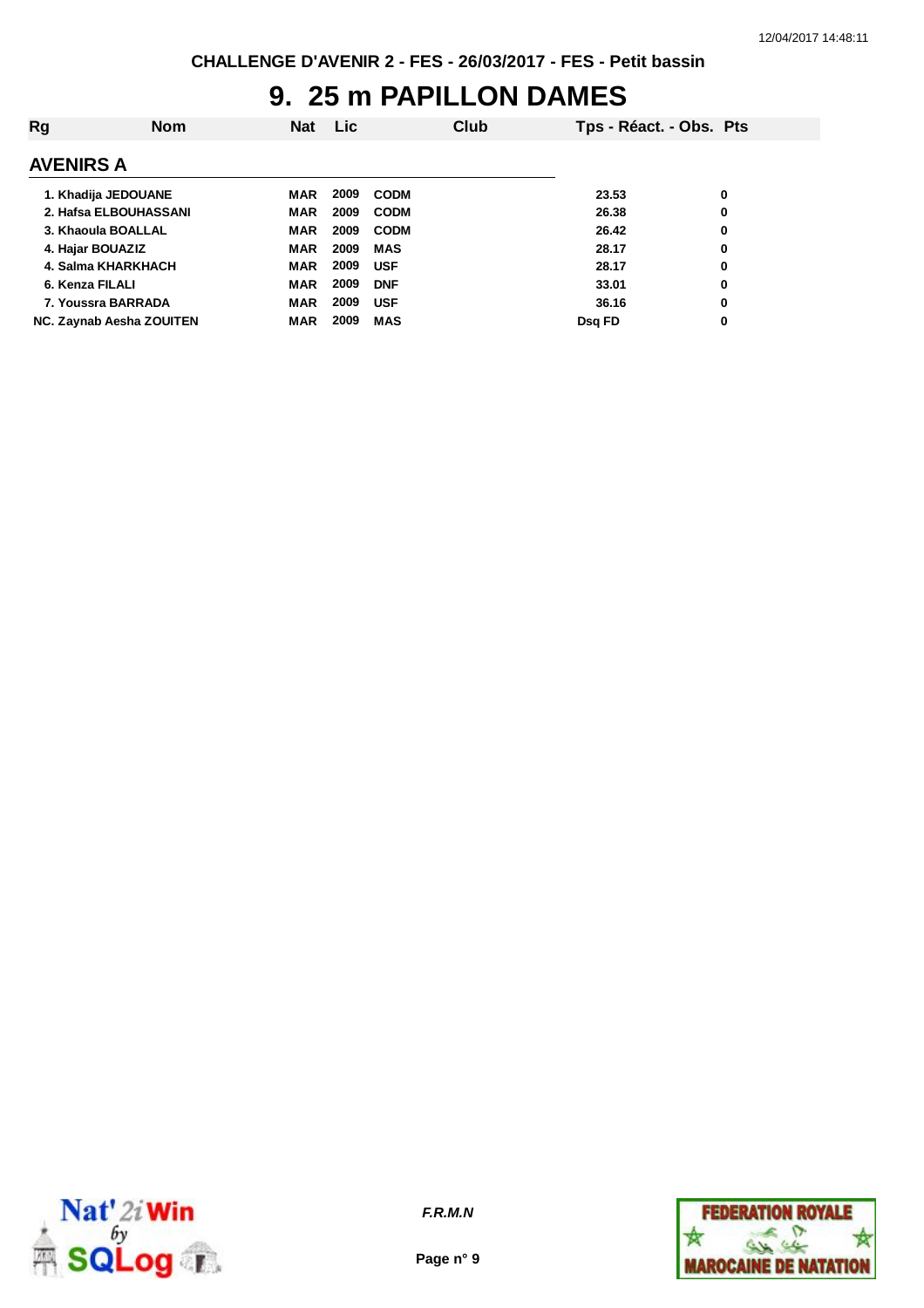## **9. 25 m PAPILLON DAMES**

| Rg                       | <b>Nom</b> | <b>Nat</b> | <b>Lic</b> |             | Club | Tps - Réact. - Obs. Pts |   |
|--------------------------|------------|------------|------------|-------------|------|-------------------------|---|
| <b>AVENIRS A</b>         |            |            |            |             |      |                         |   |
| 1. Khadija JEDOUANE      |            | MAR        | 2009       | <b>CODM</b> |      | 23.53                   | 0 |
| 2. Hafsa ELBOUHASSANI    |            | <b>MAR</b> | 2009       | <b>CODM</b> |      | 26.38                   | 0 |
| 3. Khaoula BOALLAL       |            | <b>MAR</b> | 2009       | <b>CODM</b> |      | 26.42                   | 0 |
| 4. Hajar BOUAZIZ         |            | <b>MAR</b> | 2009       | <b>MAS</b>  |      | 28.17                   | 0 |
| 4. Salma KHARKHACH       |            | <b>MAR</b> | 2009       | <b>USF</b>  |      | 28.17                   | 0 |
| 6. Kenza FILALI          |            | <b>MAR</b> | 2009       | <b>DNF</b>  |      | 33.01                   | 0 |
| 7. Youssra BARRADA       |            | <b>MAR</b> | 2009       | <b>USF</b>  |      | 36.16                   | 0 |
| NC. Zaynab Aesha ZOUITEN |            | <b>MAR</b> | 2009       | <b>MAS</b>  |      | Dsq FD                  | 0 |



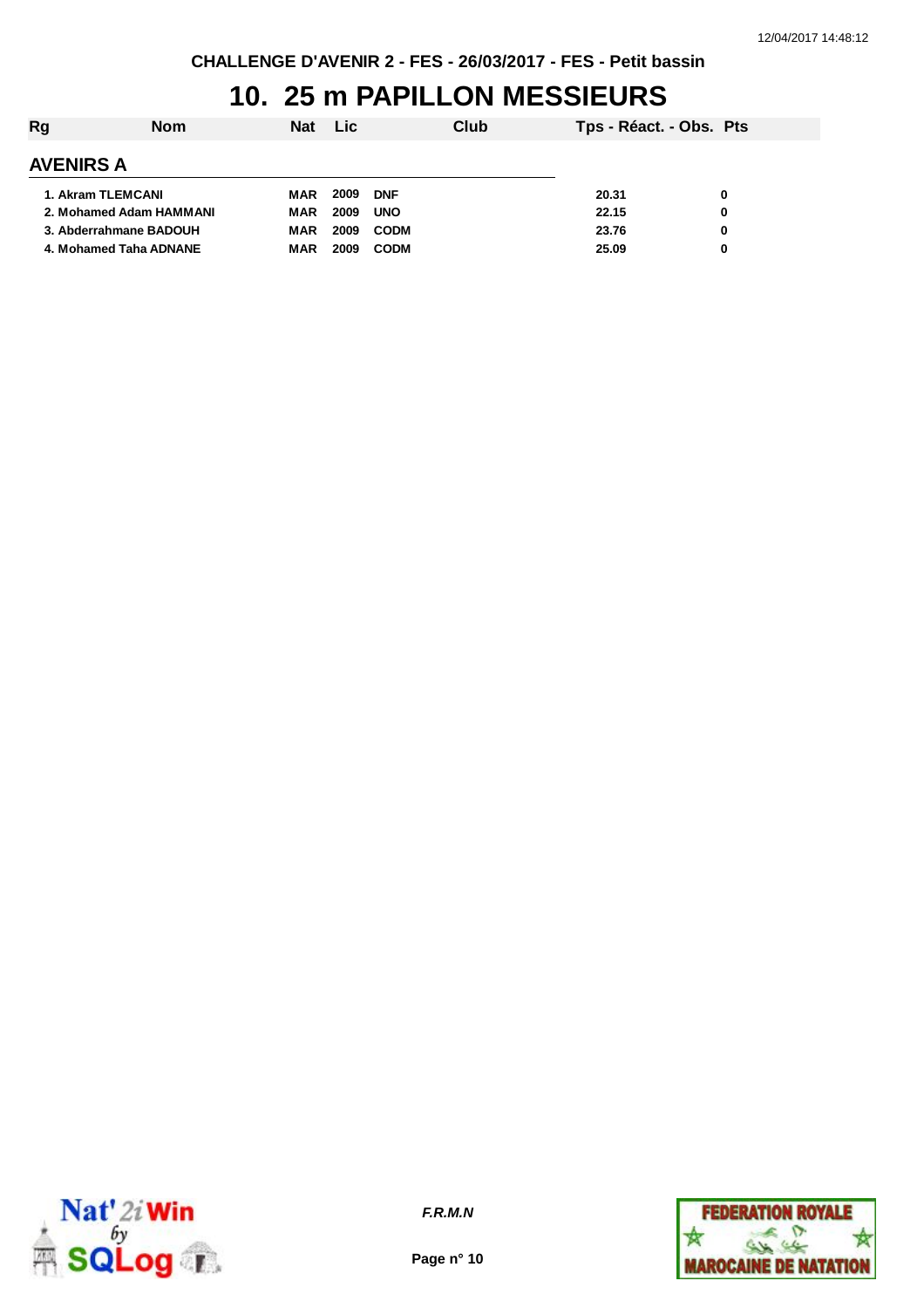# **10. 25 m PAPILLON MESSIEURS**

| <b>Rg</b>               | <b>Nom</b> | <b>Nat</b> | Lic  |             | Club | Tps - Réact. - Obs. Pts |   |
|-------------------------|------------|------------|------|-------------|------|-------------------------|---|
| <b>AVENIRS A</b>        |            |            |      |             |      |                         |   |
| 1. Akram TLEMCANI       |            | MAR        | 2009 | <b>DNF</b>  |      | 20.31                   | 0 |
| 2. Mohamed Adam HAMMANI |            | MAR        | 2009 | <b>UNO</b>  |      | 22.15                   | 0 |
| 3. Abderrahmane BADOUH  |            | MAR        | 2009 | <b>CODM</b> |      | 23.76                   | 0 |
| 4. Mohamed Taha ADNANE  |            | <b>MAR</b> | 2009 | <b>CODM</b> |      | 25.09                   | 0 |



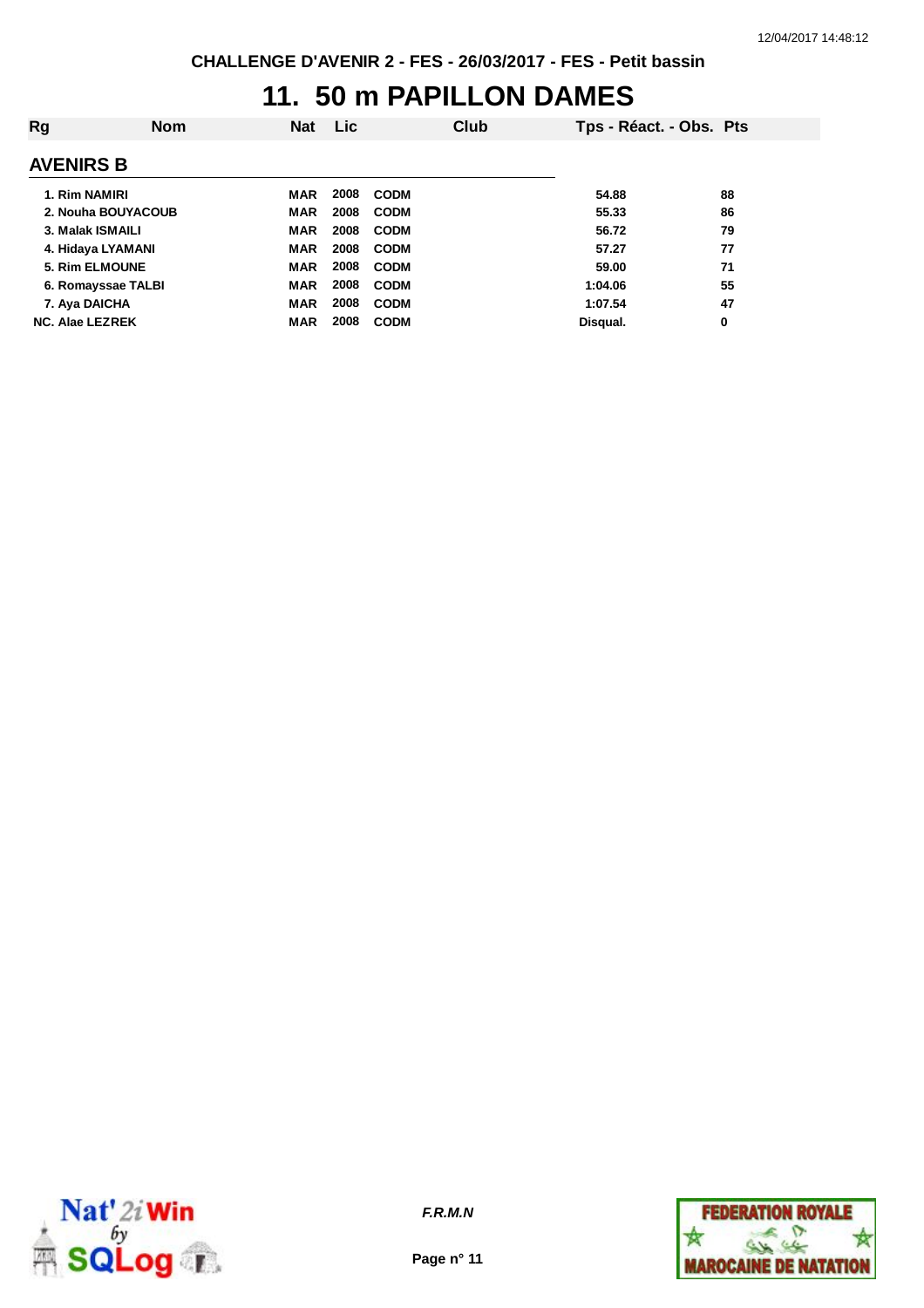#### **11. 50 m PAPILLON DAMES**

| Rg                     | <b>Nom</b> | <b>Nat</b> | <b>Lic</b> |             | Club | Tps - Réact. - Obs. Pts |    |
|------------------------|------------|------------|------------|-------------|------|-------------------------|----|
| <b>AVENIRS B</b>       |            |            |            |             |      |                         |    |
| 1. Rim NAMIRI          |            | MAR        | 2008       | <b>CODM</b> |      | 54.88                   | 88 |
| 2. Nouha BOUYACOUB     |            | <b>MAR</b> | 2008       | <b>CODM</b> |      | 55.33                   | 86 |
| 3. Malak ISMAILI       |            | <b>MAR</b> | 2008       | <b>CODM</b> |      | 56.72                   | 79 |
| 4. Hidaya LYAMANI      |            | <b>MAR</b> | 2008       | <b>CODM</b> |      | 57.27                   | 77 |
| 5. Rim ELMOUNE         |            | <b>MAR</b> | 2008       | <b>CODM</b> |      | 59.00                   | 71 |
| 6. Romayssae TALBI     |            | <b>MAR</b> | 2008       | <b>CODM</b> |      | 1:04.06                 | 55 |
| 7. Aya DAICHA          |            | <b>MAR</b> | 2008       | <b>CODM</b> |      | 1:07.54                 | 47 |
| <b>NC. Alae LEZREK</b> |            | <b>MAR</b> | 2008       | <b>CODM</b> |      | Disqual.                | 0  |



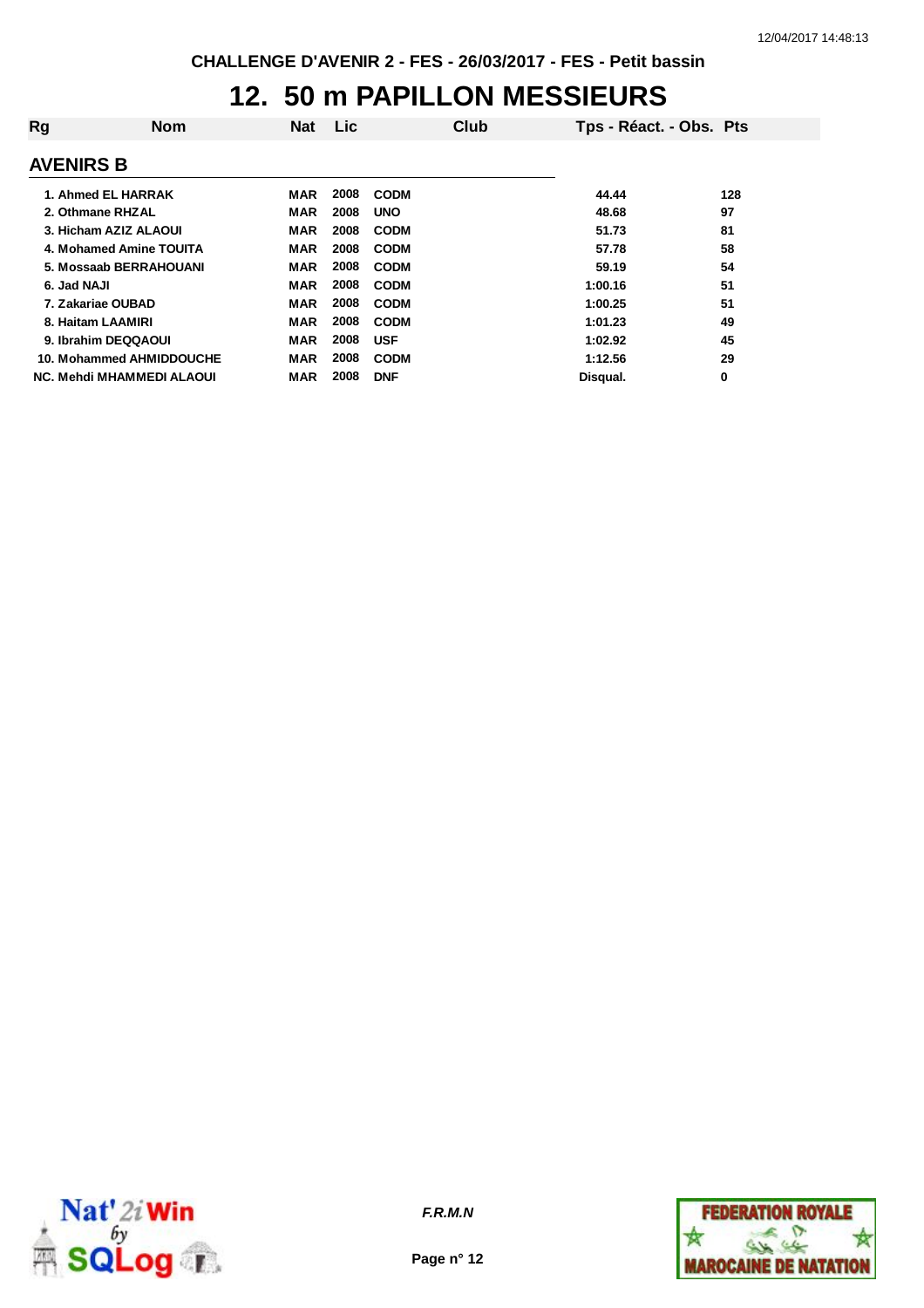# **12. 50 m PAPILLON MESSIEURS**

| Rg | <b>Nom</b>                | <b>Nat</b> | <b>Lic</b> |             | Club | Tps - Réact. - Obs. Pts |     |
|----|---------------------------|------------|------------|-------------|------|-------------------------|-----|
|    | <b>AVENIRS B</b>          |            |            |             |      |                         |     |
|    | 1. Ahmed EL HARRAK        | MAR        | 2008       | <b>CODM</b> |      | 44.44                   | 128 |
|    | 2. Othmane RHZAL          | <b>MAR</b> | 2008       | <b>UNO</b>  |      | 48.68                   | 97  |
|    | 3. Hicham AZIZ ALAOUI     | <b>MAR</b> | 2008       | <b>CODM</b> |      | 51.73                   | 81  |
|    | 4. Mohamed Amine TOUITA   | <b>MAR</b> | 2008       | <b>CODM</b> |      | 57.78                   | 58  |
|    | 5. Mossaab BERRAHOUANI    | MAR        | 2008       | <b>CODM</b> |      | 59.19                   | 54  |
|    | 6. Jad NAJI               | MAR        | 2008       | <b>CODM</b> |      | 1:00.16                 | 51  |
|    | 7. Zakariae OUBAD         | <b>MAR</b> | 2008       | <b>CODM</b> |      | 1:00.25                 | 51  |
|    | 8. Haitam LAAMIRI         | <b>MAR</b> | 2008       | <b>CODM</b> |      | 1:01.23                 | 49  |
|    | 9. Ibrahim DEQQAOUI       | <b>MAR</b> | 2008       | <b>USF</b>  |      | 1:02.92                 | 45  |
|    | 10. Mohammed AHMIDDOUCHE  | <b>MAR</b> | 2008       | <b>CODM</b> |      | 1:12.56                 | 29  |
|    | NC. Mehdi MHAMMEDI ALAOUI | MAR        | 2008       | <b>DNF</b>  |      | Disqual.                | 0   |



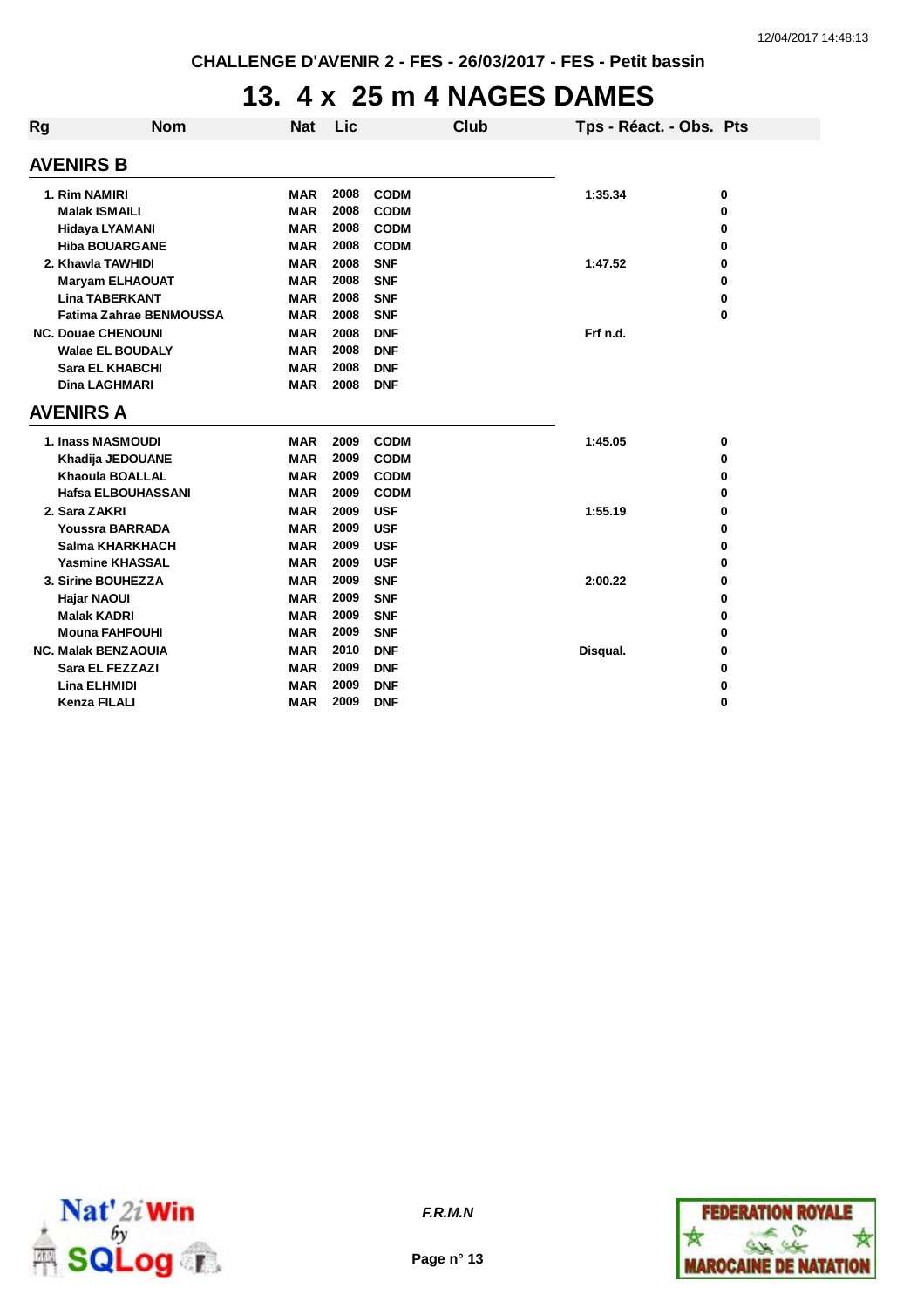#### **13. 4 x 25 m 4 NAGES DAMES**

| Rg                        | <b>Nom</b>                     | <b>Nat</b> | Lic  |             | Club | Tps - Réact. - Obs. Pts |   |
|---------------------------|--------------------------------|------------|------|-------------|------|-------------------------|---|
|                           | <b>AVENIRS B</b>               |            |      |             |      |                         |   |
|                           | 1. Rim NAMIRI                  | <b>MAR</b> | 2008 | <b>CODM</b> |      | 1:35.34                 | 0 |
|                           | <b>Malak ISMAILI</b>           | <b>MAR</b> | 2008 | <b>CODM</b> |      |                         | 0 |
|                           | <b>Hidaya LYAMANI</b>          | <b>MAR</b> | 2008 | <b>CODM</b> |      |                         | 0 |
|                           | <b>Hiba BOUARGANE</b>          | <b>MAR</b> | 2008 | <b>CODM</b> |      |                         | 0 |
| 2. Khawla TAWHIDI         |                                | <b>MAR</b> | 2008 | <b>SNF</b>  |      | 1:47.52                 | 0 |
|                           | <b>Maryam ELHAOUAT</b>         | <b>MAR</b> | 2008 | <b>SNF</b>  |      |                         | 0 |
|                           | <b>Lina TABERKANT</b>          | MAR        | 2008 | <b>SNF</b>  |      |                         | 0 |
|                           | <b>Fatima Zahrae BENMOUSSA</b> | <b>MAR</b> | 2008 | <b>SNF</b>  |      |                         | 0 |
| <b>NC. Douae CHENOUNI</b> |                                | <b>MAR</b> | 2008 | <b>DNF</b>  |      | Frf n.d.                |   |
| <b>Walae EL BOUDALY</b>   |                                | <b>MAR</b> | 2008 | <b>DNF</b>  |      |                         |   |
|                           | <b>Sara EL KHABCHI</b>         | <b>MAR</b> | 2008 | <b>DNF</b>  |      |                         |   |
|                           | Dina LAGHMARI                  | <b>MAR</b> | 2008 | <b>DNF</b>  |      |                         |   |
|                           | <b>AVENIRS A</b>               |            |      |             |      |                         |   |
|                           | 1. Inass MASMOUDI              | <b>MAR</b> | 2009 | <b>CODM</b> |      | 1:45.05                 | 0 |
|                           | Khadija JEDOUANE               | <b>MAR</b> | 2009 | <b>CODM</b> |      |                         | 0 |
|                           | <b>Khaoula BOALLAL</b>         | <b>MAR</b> | 2009 | <b>CODM</b> |      |                         | 0 |
|                           | <b>Hafsa ELBOUHASSANI</b>      | <b>MAR</b> | 2009 | <b>CODM</b> |      |                         | 0 |
|                           | 2. Sara ZAKRI                  | <b>MAR</b> | 2009 | <b>USF</b>  |      | 1:55.19                 | 0 |
|                           | <b>Youssra BARRADA</b>         | <b>MAR</b> | 2009 | <b>USF</b>  |      |                         | 0 |
|                           | Salma KHARKHACH                | <b>MAR</b> | 2009 | <b>USF</b>  |      |                         | 0 |
|                           | <b>Yasmine KHASSAL</b>         | <b>MAR</b> | 2009 | <b>USF</b>  |      |                         | 0 |
|                           | 3. Sirine BOUHEZZA             | <b>MAR</b> | 2009 | <b>SNF</b>  |      | 2:00.22                 | 0 |
|                           | Hajar NAOUI                    | <b>MAR</b> | 2009 | <b>SNF</b>  |      |                         | 0 |
|                           | <b>Malak KADRI</b>             | <b>MAR</b> | 2009 | <b>SNF</b>  |      |                         | 0 |
|                           | <b>Mouna FAHFOUHI</b>          | <b>MAR</b> | 2009 | <b>SNF</b>  |      |                         | 0 |
|                           | <b>NC. Malak BENZAOUIA</b>     | <b>MAR</b> | 2010 | <b>DNF</b>  |      | Disqual.                | 0 |
|                           | Sara EL FEZZAZI                | <b>MAR</b> | 2009 | <b>DNF</b>  |      |                         | 0 |
|                           | <b>Lina ELHMIDI</b>            | <b>MAR</b> | 2009 | <b>DNF</b>  |      |                         | 0 |
|                           | <b>Kenza FILALI</b>            | <b>MAR</b> | 2009 | <b>DNF</b>  |      |                         | 0 |